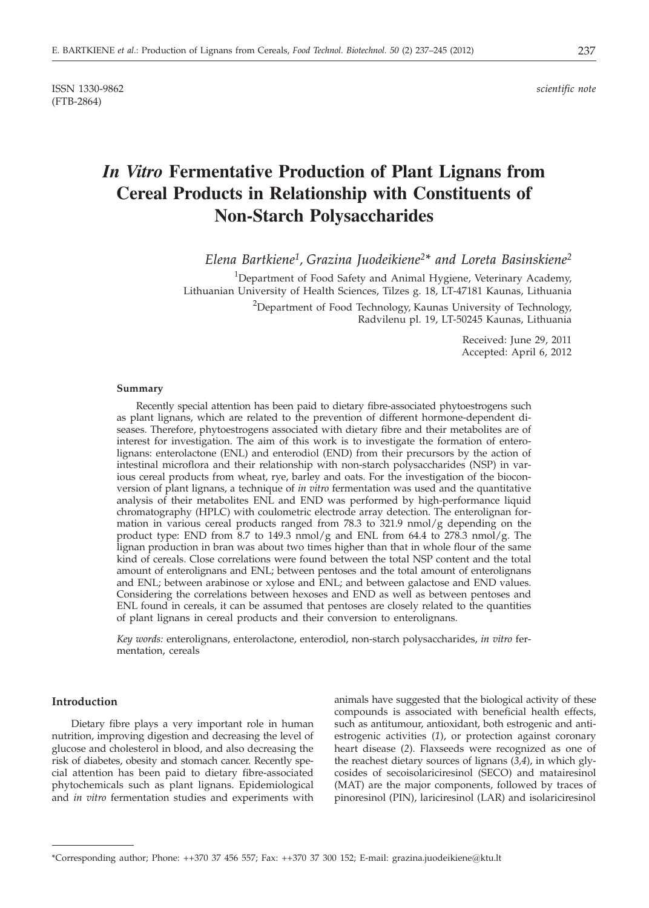ISSN 1330-9862 *scientific note* (FTB-2864)

# *In Vitro* **Fermentative Production of Plant Lignans from Cereal Products in Relationship with Constituents of Non-Starch Polysaccharides**

*Elena Bartkiene1, Grazina Juodeikiene2\* and Loreta Basinskiene2*

<sup>1</sup>Department of Food Safety and Animal Hygiene, Veterinary Academy, Lithuanian University of Health Sciences, Tilzes g. 18, LT-47181 Kaunas, Lithuania <sup>2</sup>Department of Food Technology, Kaunas University of Technology, Radvilenu pl. 19, LT-50245 Kaunas, Lithuania

> Received: June 29, 2011 Accepted: April 6, 2012

#### **Summary**

Recently special attention has been paid to dietary fibre-associated phytoestrogens such as plant lignans, which are related to the prevention of different hormone-dependent diseases. Therefore, phytoestrogens associated with dietary fibre and their metabolites are of interest for investigation. The aim of this work is to investigate the formation of enterolignans: enterolactone (ENL) and enterodiol (END) from their precursors by the action of intestinal microflora and their relationship with non-starch polysaccharides (NSP) in various cereal products from wheat, rye, barley and oats. For the investigation of the bioconversion of plant lignans, a technique of *in vitro* fermentation was used and the quantitative analysis of their metabolites ENL and END was performed by high-performance liquid chromatography (HPLC) with coulometric electrode array detection. The enterolignan formation in various cereal products ranged from 78.3 to  $321.9$  nmol/g depending on the product type: END from 8.7 to 149.3 nmol/g and ENL from 64.4 to 278.3 nmol/g. The lignan production in bran was about two times higher than that in whole flour of the same kind of cereals. Close correlations were found between the total NSP content and the total amount of enterolignans and ENL; between pentoses and the total amount of enterolignans and ENL; between arabinose or xylose and ENL; and between galactose and END values. Considering the correlations between hexoses and END as well as between pentoses and ENL found in cereals, it can be assumed that pentoses are closely related to the quantities of plant lignans in cereal products and their conversion to enterolignans.

*Key words:* enterolignans, enterolactone, enterodiol, non-starch polysaccharides, *in vitro* fermentation, cereals

## **Introduction**

Dietary fibre plays a very important role in human nutrition, improving digestion and decreasing the level of glucose and cholesterol in blood, and also decreasing the risk of diabetes, obesity and stomach cancer. Recently special attention has been paid to dietary fibre-associated phytochemicals such as plant lignans. Epidemiological and *in vitro* fermentation studies and experiments with animals have suggested that the biological activity of these compounds is associated with beneficial health effects, such as antitumour, antioxidant, both estrogenic and antiestrogenic activities (*1*), or protection against coronary heart disease (*2*). Flaxseeds were recognized as one of the reachest dietary sources of lignans (*3,4*), in which glycosides of secoisolariciresinol (SECO) and matairesinol (MAT) are the major components, followed by traces of pinoresinol (PIN), lariciresinol (LAR) and isolariciresinol

<sup>\*</sup>Corresponding author; Phone: ++370 37 456 557; Fax: ++370 37 300 152; E-mail: grazina.juodeikiene*@*ktu.lt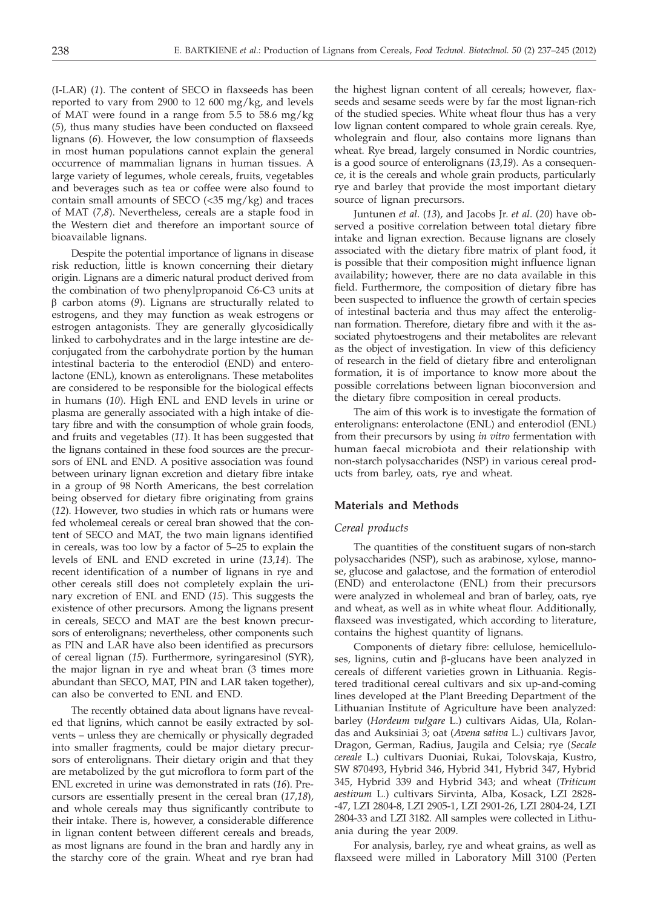(I-LAR) (*1*). The content of SECO in flaxseeds has been reported to vary from 2900 to 12 600 mg/kg, and levels of MAT were found in a range from 5.5 to 58.6 mg/kg (*5*), thus many studies have been conducted on flaxseed lignans (*6*). However, the low consumption of flaxseeds in most human populations cannot explain the general occurrence of mammalian lignans in human tissues. A large variety of legumes, whole cereals, fruits, vegetables and beverages such as tea or coffee were also found to contain small amounts of SECO (<35 mg/kg) and traces of MAT (*7,8*). Nevertheless, cereals are a staple food in the Western diet and therefore an important source of bioavailable lignans.

Despite the potential importance of lignans in disease risk reduction, little is known concerning their dietary origin. Lignans are a dimeric natural product derived from the combination of two phenylpropanoid C6-C3 units at  $\beta$  carbon atoms (9). Lignans are structurally related to estrogens, and they may function as weak estrogens or estrogen antagonists. They are generally glycosidically linked to carbohydrates and in the large intestine are deconjugated from the carbohydrate portion by the human intestinal bacteria to the enterodiol (END) and enterolactone (ENL), known as enterolignans. These metabolites are considered to be responsible for the biological effects in humans (*10*). High ENL and END levels in urine or plasma are generally associated with a high intake of dietary fibre and with the consumption of whole grain foods, and fruits and vegetables (*11*). It has been suggested that the lignans contained in these food sources are the precursors of ENL and END. A positive association was found between urinary lignan excretion and dietary fibre intake in a group of 98 North Americans, the best correlation being observed for dietary fibre originating from grains (*12*). However, two studies in which rats or humans were fed wholemeal cereals or cereal bran showed that the content of SECO and MAT, the two main lignans identified in cereals, was too low by a factor of 5–25 to explain the levels of ENL and END excreted in urine (*13,14*). The recent identification of a number of lignans in rye and other cereals still does not completely explain the urinary excretion of ENL and END (*15*). This suggests the existence of other precursors. Among the lignans present in cereals, SECO and MAT are the best known precursors of enterolignans; nevertheless, other components such as PIN and LAR have also been identified as precursors of cereal lignan (*15*). Furthermore, syringaresinol (SYR), the major lignan in rye and wheat bran (3 times more abundant than SECO, MAT, PIN and LAR taken together), can also be converted to ENL and END.

The recently obtained data about lignans have revealed that lignins, which cannot be easily extracted by solvents – unless they are chemically or physically degraded into smaller fragments, could be major dietary precursors of enterolignans. Their dietary origin and that they are metabolized by the gut microflora to form part of the ENL excreted in urine was demonstrated in rats (*16*). Precursors are essentially present in the cereal bran (*17,18*), and whole cereals may thus significantly contribute to their intake. There is, however, a considerable difference in lignan content between different cereals and breads, as most lignans are found in the bran and hardly any in the starchy core of the grain. Wheat and rye bran had

the highest lignan content of all cereals; however, flaxseeds and sesame seeds were by far the most lignan-rich of the studied species. White wheat flour thus has a very low lignan content compared to whole grain cereals. Rye, wholegrain and flour, also contains more lignans than wheat. Rye bread, largely consumed in Nordic countries, is a good source of enterolignans (*13,19*). As a consequence, it is the cereals and whole grain products, particularly rye and barley that provide the most important dietary source of lignan precursors.

Juntunen *et al*. (*13*), and Jacobs Jr. *et al*. (*20*) have observed a positive correlation between total dietary fibre intake and lignan exrection. Because lignans are closely associated with the dietary fibre matrix of plant food, it is possible that their composition might influence lignan availability; however, there are no data available in this field. Furthermore, the composition of dietary fibre has been suspected to influence the growth of certain species of intestinal bacteria and thus may affect the enterolignan formation. Therefore, dietary fibre and with it the associated phytoestrogens and their metabolites are relevant as the object of investigation. In view of this deficiency of research in the field of dietary fibre and enterolignan formation, it is of importance to know more about the possible correlations between lignan bioconversion and the dietary fibre composition in cereal products.

The aim of this work is to investigate the formation of enterolignans: enterolactone (ENL) and enterodiol (ENL) from their precursors by using *in vitro* fermentation with human faecal microbiota and their relationship with non-starch polysaccharides (NSP) in various cereal products from barley, oats, rye and wheat.

#### **Materials and Methods**

#### *Cereal products*

The quantities of the constituent sugars of non-starch polysaccharides (NSP), such as arabinose, xylose, mannose, glucose and galactose, and the formation of enterodiol (END) and enterolactone (ENL) from their precursors were analyzed in wholemeal and bran of barley, oats, rye and wheat, as well as in white wheat flour. Additionally, flaxseed was investigated, which according to literature, contains the highest quantity of lignans.

Components of dietary fibre: cellulose, hemicelluloses, lignins, cutin and  $\beta$ -glucans have been analyzed in cereals of different varieties grown in Lithuania. Registered traditional cereal cultivars and six up-and-coming lines developed at the Plant Breeding Department of the Lithuanian Institute of Agriculture have been analyzed: barley (*Hordeum vulgare* L.) cultivars Aidas, Ula, Rolandas and Auksiniai 3; oat (*Avena sativa* L.) cultivars Javor, Dragon, German, Radius, Jaugila and Celsia; rye (*Secale cereale* L.) cultivars Duoniai, Rukai, Tolovskaja, Kustro, SW 870493, Hybrid 346, Hybrid 341, Hybrid 347, Hybrid 345, Hybrid 339 and Hybrid 343; and wheat (*Triticum aestivum* L.) cultivars Sirvinta, Alba, Kosack, LZI 2828- -47, LZI 2804-8, LZI 2905-1, LZI 2901-26, LZI 2804-24, LZI 2804-33 and LZI 3182. All samples were collected in Lithuania during the year 2009.

For analysis, barley, rye and wheat grains, as well as flaxseed were milled in Laboratory Mill 3100 (Perten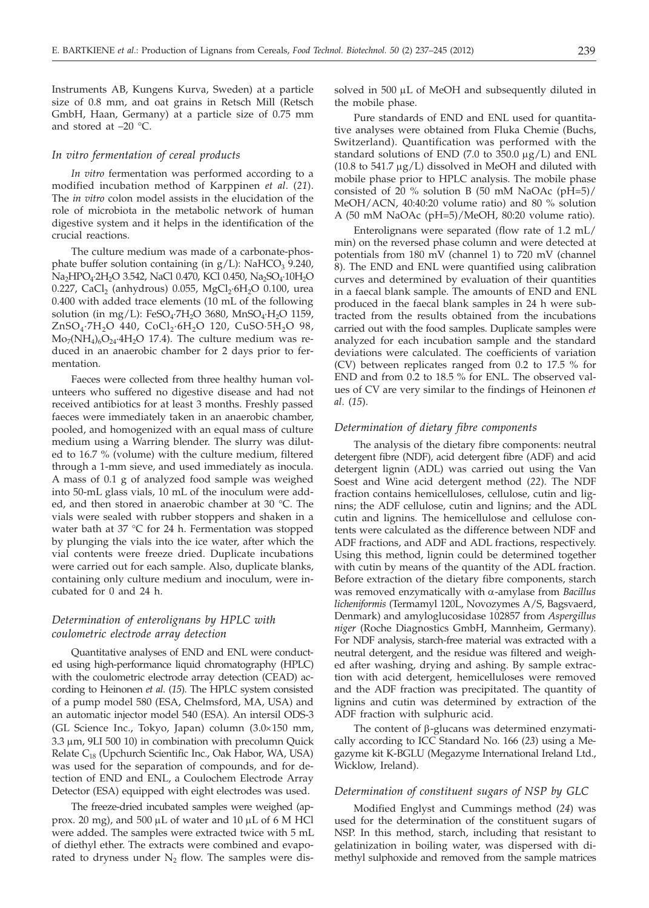Instruments AB, Kungens Kurva, Sweden) at a particle size of 0.8 mm, and oat grains in Retsch Mill (Retsch GmbH, Haan, Germany) at a particle size of 0.75 mm and stored at  $-20$  °C.

## *In vitro fermentation of cereal products*

*In vitro* fermentation was performed according to a modified incubation method of Karppinen *et al*. (*21*). The *in vitro* colon model assists in the elucidation of the role of microbiota in the metabolic network of human digestive system and it helps in the identification of the crucial reactions.

The culture medium was made of a carbonate-phosphate buffer solution containing (in  $g/L$ ): NaHCO<sub>3</sub> 9.240, Na<sub>2</sub>HPO<sub>4</sub>·2H<sub>2</sub>O 3.542, NaCl 0.470, KCl 0.450, Na<sub>2</sub>SO<sub>4</sub>·10H<sub>2</sub>O 0.227, CaCl<sub>2</sub> (anhydrous) 0.055, MgCl<sub>2</sub>·6H<sub>2</sub>O 0.100, urea 0.400 with added trace elements (10 mL of the following solution (in mg/L): FeSO<sub>4</sub>·7H<sub>2</sub>O 3680, MnSO<sub>4</sub>·H<sub>2</sub>O 1159, ZnSO<sub>4</sub>·7H<sub>2</sub>O 440, CoCl<sub>2</sub>·6H<sub>2</sub>O 120, CuSO·5H<sub>2</sub>O 98,  $\text{Mo}_{7}(\text{NH}_{4})_{6}\text{O}_{24}\cdot4\text{H}_{2}\text{O}$  17.4). The culture medium was reduced in an anaerobic chamber for 2 days prior to fermentation.

Faeces were collected from three healthy human volunteers who suffered no digestive disease and had not received antibiotics for at least 3 months. Freshly passed faeces were immediately taken in an anaerobic chamber, pooled, and homogenized with an equal mass of culture medium using a Warring blender. The slurry was diluted to 16.7 % (volume) with the culture medium, filtered through a 1-mm sieve, and used immediately as inocula. A mass of 0.1 g of analyzed food sample was weighed into 50-mL glass vials, 10 mL of the inoculum were added, and then stored in anaerobic chamber at 30 °C. The vials were sealed with rubber stoppers and shaken in a water bath at 37 °C for 24 h. Fermentation was stopped by plunging the vials into the ice water, after which the vial contents were freeze dried. Duplicate incubations were carried out for each sample. Also, duplicate blanks, containing only culture medium and inoculum, were incubated for 0 and 24 h.

## *Determination of enterolignans by HPLC with coulometric electrode array detection*

Quantitative analyses of END and ENL were conducted using high-performance liquid chromatography (HPLC) with the coulometric electrode array detection (CEAD) according to Heinonen *et al*. (*15*). The HPLC system consisted of a pump model 580 (ESA, Chelmsford, MA, USA) and an automatic injector model 540 (ESA). An intersil ODS-3 (GL Science Inc., Tokyo, Japan) column (3.0×150 mm,  $3.3 \mu$ m,  $9LI$   $500$   $10$ ) in combination with precolumn Quick Relate C<sub>18</sub> (Upchurch Scientific Inc., Oak Habor, WA, USA) was used for the separation of compounds, and for detection of END and ENL, a Coulochem Electrode Array Detector (ESA) equipped with eight electrodes was used.

The freeze-dried incubated samples were weighed (approx. 20 mg), and 500  $\mu$ L of water and 10  $\mu$ L of 6 M HCl were added. The samples were extracted twice with 5 mL of diethyl ether. The extracts were combined and evaporated to dryness under  $N_2$  flow. The samples were dissolved in 500 µL of MeOH and subsequently diluted in the mobile phase.

Pure standards of END and ENL used for quantitative analyses were obtained from Fluka Chemie (Buchs, Switzerland). Quantification was performed with the standard solutions of END (7.0 to 350.0  $\mu$ g/L) and ENL (10.8 to 541.7  $\mu$ g/L) dissolved in MeOH and diluted with mobile phase prior to HPLC analysis. The mobile phase consisted of 20 % solution B (50 mM NaOAc (pH=5)/ MeOH/ACN, 40:40:20 volume ratio) and 80 % solution A (50 mM NaOAc (pH=5)/MeOH, 80:20 volume ratio).

Enterolignans were separated (flow rate of 1.2 mL/ min) on the reversed phase column and were detected at potentials from 180 mV (channel 1) to 720 mV (channel 8). The END and ENL were quantified using calibration curves and determined by evaluation of their quantities in a faecal blank sample. The amounts of END and ENL produced in the faecal blank samples in 24 h were subtracted from the results obtained from the incubations carried out with the food samples. Duplicate samples were analyzed for each incubation sample and the standard deviations were calculated. The coefficients of variation (CV) between replicates ranged from 0.2 to 17.5 % for END and from 0.2 to 18.5 % for ENL. The observed values of CV are very similar to the findings of Heinonen *et al*. (*15*).

#### *Determination of dietary fibre components*

The analysis of the dietary fibre components: neutral detergent fibre (NDF), acid detergent fibre (ADF) and acid detergent lignin (ADL) was carried out using the Van Soest and Wine acid detergent method (*22*). The NDF fraction contains hemicelluloses, cellulose, cutin and lignins; the ADF cellulose, cutin and lignins; and the ADL cutin and lignins. The hemicellulose and cellulose contents were calculated as the difference between NDF and ADF fractions, and ADF and ADL fractions, respectively. Using this method, lignin could be determined together with cutin by means of the quantity of the ADL fraction. Before extraction of the dietary fibre components, starch was removed enzymatically with a-amylase from *Bacillus licheniformis* (Termamyl 120L, Novozymes A/S, Bagsvaerd, Denmark) and amyloglucosidase 102857 from *Aspergillus niger* (Roche Diagnostics GmbH, Mannheim, Germany). For NDF analysis, starch-free material was extracted with a neutral detergent, and the residue was filtered and weighed after washing, drying and ashing. By sample extraction with acid detergent, hemicelluloses were removed and the ADF fraction was precipitated. The quantity of lignins and cutin was determined by extraction of the ADF fraction with sulphuric acid.

The content of  $\beta$ -glucans was determined enzymatically according to ICC Standard No. 166 (*23*) using a Megazyme kit K-BGLU (Megazyme International Ireland Ltd., Wicklow, Ireland).

## *Determination of constituent sugars of NSP by GLC*

Modified Englyst and Cummings method (*24*) was used for the determination of the constituent sugars of NSP. In this method, starch, including that resistant to gelatinization in boiling water, was dispersed with dimethyl sulphoxide and removed from the sample matrices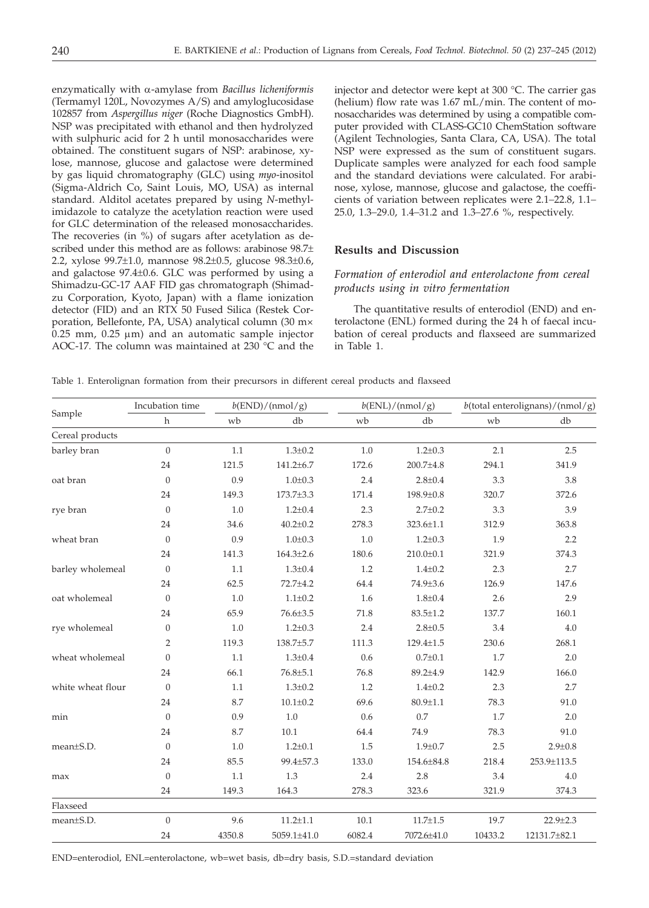enzymatically with a-amylase from *Bacillus licheniformis* (Termamyl 120L, Novozymes A/S) and amyloglucosidase 102857 from *Aspergillus niger* (Roche Diagnostics GmbH). NSP was precipitated with ethanol and then hydrolyzed with sulphuric acid for 2 h until monosaccharides were obtained. The constituent sugars of NSP: arabinose, xylose, mannose, glucose and galactose were determined by gas liquid chromatography (GLC) using *myo*-inositol (Sigma-Aldrich Co, Saint Louis, MO, USA) as internal standard. Alditol acetates prepared by using *N*-methylimidazole to catalyze the acetylation reaction were used for GLC determination of the released monosaccharides. The recoveries (in %) of sugars after acetylation as described under this method are as follows: arabinose 98.7± 2.2, xylose 99.7±1.0, mannose 98.2±0.5, glucose 98.3±0.6, and galactose 97.4±0.6. GLC was performed by using a Shimadzu-GC-17 AAF FID gas chromatograph (Shimadzu Corporation, Kyoto, Japan) with a flame ionization detector (FID) and an RTX 50 Fused Silica (Restek Corporation, Bellefonte, PA, USA) analytical column (30 m×  $0.25$  mm,  $0.25$   $\mu$ m) and an automatic sample injector AOC-17*.* The column was maintained at 230 °C and the

injector and detector were kept at 300 °C. The carrier gas (helium) flow rate was 1.67 mL/min. The content of monosaccharides was determined by using a compatible computer provided with CLASS-GC10 ChemStation software (Agilent Technologies, Santa Clara, CA, USA). The total NSP were expressed as the sum of constituent sugars. Duplicate samples were analyzed for each food sample and the standard deviations were calculated. For arabinose, xylose, mannose, glucose and galactose, the coefficients of variation between replicates were 2.1*–*22.8, 1.1*–* 25.0, 1.3*–*29.0, 1.4*–*31.2 and 1.3*–*27.6 %, respectively.

## **Results and Discussion**

# *Formation of enterodiol and enterolactone from cereal products using in vitro fermentation*

The quantitative results of enterodiol (END) and enterolactone (ENL) formed during the 24 h of faecal incubation of cereal products and flaxseed are summarized in Table 1.

Table 1. Enterolignan formation from their precursors in different cereal products and flaxseed

|                   | Incubation time  | $b(\text{END})/(\text{nmol}/g)$ |                 |         | b(ENL)/(nmol/g) | $b$ (total enterolignans)/(nmol/g) |                |  |
|-------------------|------------------|---------------------------------|-----------------|---------|-----------------|------------------------------------|----------------|--|
| Sample            | $\mathbf h$      | wb                              | db              | wb      | db              | wb                                 | db             |  |
| Cereal products   |                  |                                 |                 |         |                 |                                    |                |  |
| barley bran       | $\boldsymbol{0}$ | $1.1\,$                         | $1.3 \pm 0.2$   | 1.0     | $1.2 \pm 0.3$   | 2.1                                | 2.5            |  |
|                   | 24               | 121.5                           | 141.2±6.7       | 172.6   | $200.7 \pm 4.8$ | 294.1                              | 341.9          |  |
| oat bran          | $\theta$         | 0.9                             | $1.0 \pm 0.3$   | 2.4     | $2.8 \pm 0.4$   | 3.3                                | 3.8            |  |
|                   | 24               | 149.3                           | 173.7±3.3       | 171.4   | 198.9±0.8       | 320.7                              | 372.6          |  |
| rye bran          | $\theta$         | 1.0                             | $1.2 \pm 0.4$   | 2.3     | $2.7 \pm 0.2$   | 3.3                                | 3.9            |  |
|                   | 24               | 34.6                            | $40.2 \pm 0.2$  | 278.3   | 323.6±1.1       | 312.9                              | 363.8          |  |
| wheat bran        | $\theta$         | 0.9                             | $1.0 \pm 0.3$   | 1.0     | $1.2 \pm 0.3$   | 1.9                                | 2.2            |  |
|                   | 24               | 141.3                           | $164.3 \pm 2.6$ | 180.6   | $210.0 \pm 0.1$ | 321.9                              | 374.3          |  |
| barley wholemeal  | $\theta$         | 1.1                             | $1.3 \pm 0.4$   | 1.2     | $1.4 \pm 0.2$   | 2.3                                | 2.7            |  |
|                   | 24               | 62.5                            | 72.7±4.2        | 64.4    | 74.9±3.6        | 126.9                              | 147.6          |  |
| oat wholemeal     | $\theta$         | 1.0                             | $1.1 \pm 0.2$   | 1.6     | $1.8 \pm 0.4$   | 2.6                                | 2.9            |  |
|                   | 24               | 65.9                            | 76.6±3.5        | 71.8    | $83.5 \pm 1.2$  | 137.7                              | 160.1          |  |
| rye wholemeal     | $\boldsymbol{0}$ | 1.0                             | $1.2 \pm 0.3$   | $2.4\,$ | $2.8 \pm 0.5$   | 3.4                                | 4.0            |  |
|                   | $\overline{2}$   | 119.3                           | 138.7±5.7       | 111.3   | $129.4 \pm 1.5$ | 230.6                              | 268.1          |  |
| wheat wholemeal   | $\mathbf{0}$     | 1.1                             | $1.3 \pm 0.4$   | 0.6     | $0.7 \pm 0.1$   | 1.7                                | 2.0            |  |
|                   | 24               | 66.1                            | $76.8 \pm 5.1$  | 76.8    | 89.2±4.9        | 142.9                              | 166.0          |  |
| white wheat flour | $\mathbf{0}$     | 1.1                             | $1.3 \pm 0.2$   | 1.2     | $1.4 \pm 0.2$   | 2.3                                | 2.7            |  |
|                   | 24               | 8.7                             | $10.1 \pm 0.2$  | 69.6    | $80.9 \pm 1.1$  | 78.3                               | 91.0           |  |
| min               | $\mathbf{0}$     | 0.9                             | $1.0\,$         | 0.6     | 0.7             | 1.7                                | 2.0            |  |
|                   | 24               | 8.7                             | 10.1            | 64.4    | 74.9            | 78.3                               | 91.0           |  |
| mean±S.D.         | $\mathbf{0}$     | 1.0                             | $1.2 \pm 0.1$   | 1.5     | $1.9 \pm 0.7$   | 2.5                                | $2.9 \pm 0.8$  |  |
|                   | 24               | 85.5                            | 99.4±57.3       | 133.0   | 154.6±84.8      | 218.4                              | 253.9±113.5    |  |
| max               | $\overline{0}$   | 1.1                             | 1.3             | 2.4     | 2.8             | 3.4                                | 4.0            |  |
|                   | 24               | 149.3                           | 164.3           | 278.3   | 323.6           | 321.9                              | 374.3          |  |
| Flaxseed          |                  |                                 |                 |         |                 |                                    |                |  |
| mean±S.D.         | $\theta$         | 9.6                             | $11.2 \pm 1.1$  | 10.1    | $11.7 \pm 1.5$  | 19.7                               | $22.9 \pm 2.3$ |  |
|                   | 24               | 4350.8                          | 5059.1±41.0     | 6082.4  | 7072.6±41.0     | 10433.2                            | 12131.7±82.1   |  |

END=enterodiol, ENL=enterolactone, wb=wet basis, db=dry basis, S.D.=standard deviation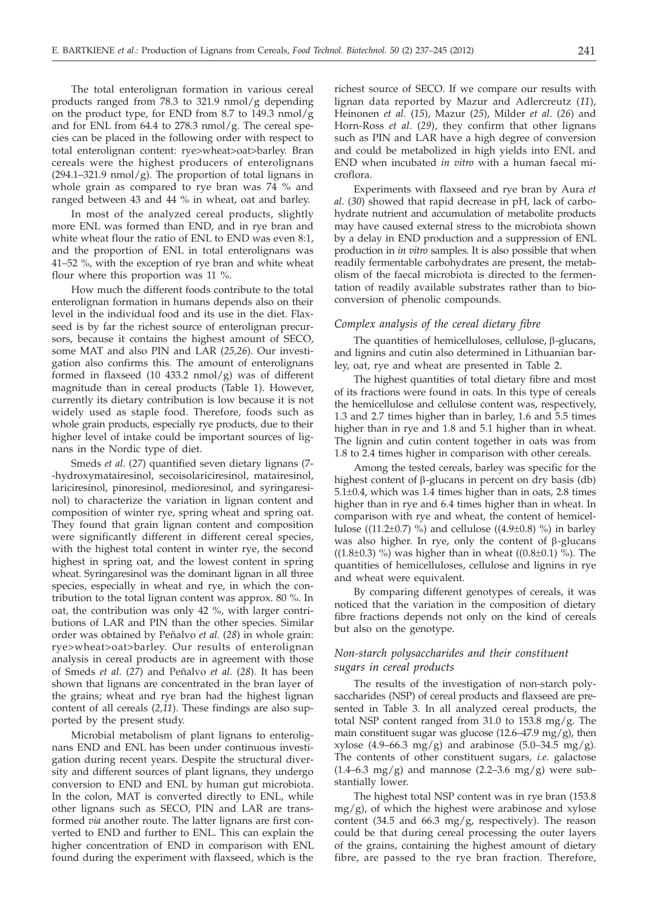The total enterolignan formation in various cereal products ranged from 78.3 to 321.9 nmol/g depending on the product type, for END from 8.7 to 149.3 nmol/g and for ENL from  $64.4$  to  $278.3$  nmol/g. The cereal species can be placed in the following order with respect to total enterolignan content: rye>wheat>oat>barley. Bran cereals were the highest producers of enterolignans  $(294.1-321.9 \text{ nmol/g})$ . The proportion of total lignans in whole grain as compared to rye bran was 74 % and ranged between 43 and 44 % in wheat, oat and barley.

In most of the analyzed cereal products, slightly more ENL was formed than END, and in rye bran and white wheat flour the ratio of ENL to END was even 8:1, and the proportion of ENL in total enterolignans was 41–52 %, with the exception of rye bran and white wheat flour where this proportion was 11 %.

How much the different foods contribute to the total enterolignan formation in humans depends also on their level in the individual food and its use in the diet. Flaxseed is by far the richest source of enterolignan precursors, because it contains the highest amount of SECO, some MAT and also PIN and LAR (*25,26*). Our investigation also confirms this. The amount of enterolignans formed in flaxseed (10 433.2 nmol/g) was of different magnitude than in cereal products (Table 1). However, currently its dietary contribution is low because it is not widely used as staple food. Therefore, foods such as whole grain products, especially rye products, due to their higher level of intake could be important sources of lignans in the Nordic type of diet.

Smeds *et al.* (*27*) quantified seven dietary lignans (7- -hydroxymatairesinol, secoisolariciresinol, matairesinol, lariciresinol, pinoresinol, medioresinol, and syringaresinol) to characterize the variation in lignan content and composition of winter rye, spring wheat and spring oat. They found that grain lignan content and composition were significantly different in different cereal species, with the highest total content in winter rye, the second highest in spring oat, and the lowest content in spring wheat. Syringaresinol was the dominant lignan in all three species, especially in wheat and rye, in which the contribution to the total lignan content was approx. 80 %. In oat, the contribution was only 42 %, with larger contributions of LAR and PIN than the other species. Similar order was obtained by Peñalvo *et al.* (*28*) in whole grain: rye>wheat>oat>barley. Our results of enterolignan analysis in cereal products are in agreement with those of Smeds *et al*. (*27*) and Peñalvo *et al*. (*28*). It has been shown that lignans are concentrated in the bran layer of the grains; wheat and rye bran had the highest lignan content of all cereals (*2,11*). These findings are also supported by the present study.

Microbial metabolism of plant lignans to enterolignans END and ENL has been under continuous investigation during recent years. Despite the structural diversity and different sources of plant lignans, they undergo conversion to END and ENL by human gut microbiota. In the colon, MAT is converted directly to ENL, while other lignans such as SECO, PIN and LAR are transformed *via* another route. The latter lignans are first converted to END and further to ENL. This can explain the higher concentration of END in comparison with ENL found during the experiment with flaxseed, which is the

richest source of SECO. If we compare our results with lignan data reported by Mazur and Adlercreutz (*11*), Heinonen *et al*. (*15*), Mazur (*25*), Milder *et al*. (*26*) and Horn-Ross *et al*. (*29*), they confirm that other lignans such as PIN and LAR have a high degree of conversion and could be metabolized in high yields into ENL and END when incubated *in vitro* with a human faecal microflora.

Experiments with flaxseed and rye bran by Aura *et al*. (*30*) showed that rapid decrease in pH, lack of carbohydrate nutrient and accumulation of metabolite products may have caused external stress to the microbiota shown by a delay in END production and a suppression of ENL production in *in vitro* samples. It is also possible that when readily fermentable carbohydrates are present, the metabolism of the faecal microbiota is directed to the fermentation of readily available substrates rather than to bioconversion of phenolic compounds.

## *Complex analysis of the cereal dietary fibre*

The quantities of hemicelluloses, cellulose,  $\beta$ -glucans, and lignins and cutin also determined in Lithuanian barley, oat, rye and wheat are presented in Table 2.

The highest quantities of total dietary fibre and most of its fractions were found in oats. In this type of cereals the hemicellulose and cellulose content was, respectively, 1.3 and 2.7 times higher than in barley, 1.6 and 5.5 times higher than in rye and 1.8 and 5.1 higher than in wheat. The lignin and cutin content together in oats was from 1.8 to 2.4 times higher in comparison with other cereals.

Among the tested cereals, barley was specific for the highest content of  $\beta$ -glucans in percent on dry basis (db) 5.1±0.4, which was 1.4 times higher than in oats, 2.8 times higher than in rye and 6.4 times higher than in wheat. In comparison with rye and wheat, the content of hemicellulose ((11.2 $\pm$ 0.7) %) and cellulose ((4.9 $\pm$ 0.8) %) in barley was also higher. In rye, only the content of  $\beta$ -glucans ( $(1.8\pm0.3)$  %) was higher than in wheat ( $(0.8\pm0.1)$  %). The quantities of hemicelluloses, cellulose and lignins in rye and wheat were equivalent.

By comparing different genotypes of cereals, it was noticed that the variation in the composition of dietary fibre fractions depends not only on the kind of cereals but also on the genotype.

# *Non-starch polysaccharides and their constituent sugars in cereal products*

The results of the investigation of non-starch polysaccharides (NSP) of cereal products and flaxseed are presented in Table 3. In all analyzed cereal products, the total NSP content ranged from 31.0 to 153.8 mg/g. The main constituent sugar was glucose  $(12.6-47.9 \text{ mg/g})$ , then xylose  $(4.9-66.3 \text{ mg/g})$  and arabinose  $(5.0-34.5 \text{ mg/g})$ . The contents of other constituent sugars, *i.e*. galactose  $(1.4–6.3 \text{ mg/g})$  and mannose  $(2.2–3.6 \text{ mg/g})$  were substantially lower.

The highest total NSP content was in rye bran (153.8 mg/g), of which the highest were arabinose and xylose content (34.5 and 66.3 mg/g, respectively). The reason could be that during cereal processing the outer layers of the grains, containing the highest amount of dietary fibre, are passed to the rye bran fraction. Therefore,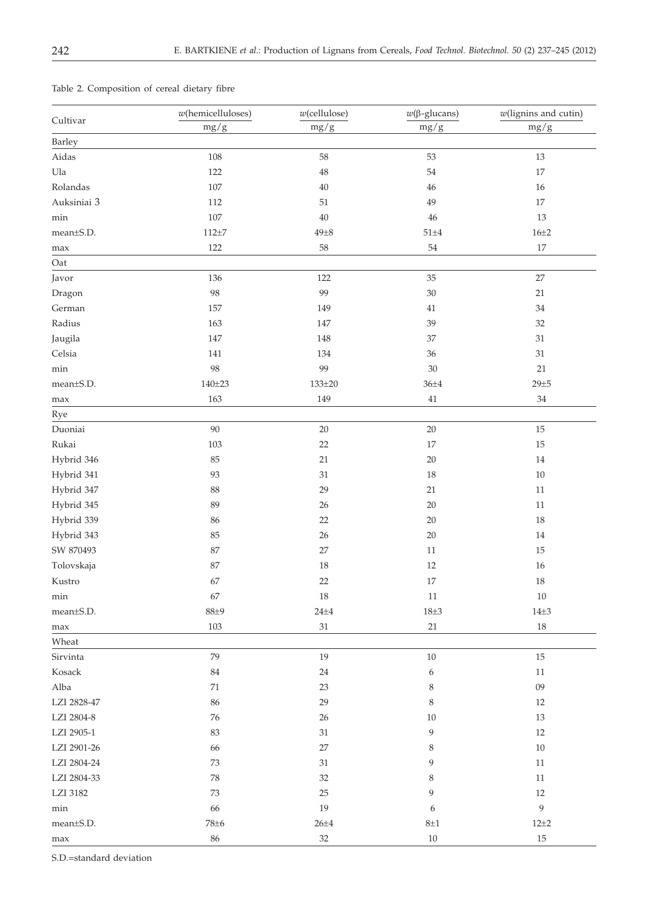|             | $w$ (hemicelluloses) | $w$ (cellulose)               | $w(β$ -glucans) | $w$ (lignins and cutin)<br>mg/g |  |
|-------------|----------------------|-------------------------------|-----------------|---------------------------------|--|
| Cultivar    | mg/g                 | $mg/g$                        | $mg/g$          |                                 |  |
| Barley      |                      |                               |                 |                                 |  |
| Aidas       | 108                  | $58\,$                        | 53              | $13\,$                          |  |
| Ula         | 122                  | $48\,$                        | 54              | $17\,$                          |  |
| Rolandas    | 107                  | $40\,$                        | 46              | 16                              |  |
| Auksiniai 3 | 112                  | $51\,$                        | 49              | 17                              |  |
| min         | $107\,$              | $40\,$                        | $46\,$          | $13\,$                          |  |
| mean±S.D.   | $112 + 7$            | $49\pm8$                      | $51\pm4$        | $16 + 2$                        |  |
| max         | 122                  | $58\,$                        | 54              | $17\,$                          |  |
| Oat         |                      |                               |                 |                                 |  |
| Javor       | 136                  | 122                           | 35              | 27                              |  |
| Dragon      | $98\,$               | 99                            | $30\,$          | $21\,$                          |  |
| German      | $157\,$              | 149                           | $41\,$          | $34\,$                          |  |
| Radius      | 163                  | 147                           | 39              | $32\,$                          |  |
| Jaugila     | 147                  | 148                           | 37              | $31\,$                          |  |
| Celsia      | 141                  | 134                           | 36              | $31\,$                          |  |
| $\min$      | 98                   | 99                            | 30              | 21                              |  |
| mean±S.D.   | $140 + 23$           | $133 + 20$                    | $36 + 4$        | $29 + 5$                        |  |
| max         | 163                  | 149                           | $41\,$          | $34\,$                          |  |
| Rye         |                      |                               |                 |                                 |  |
| Duoniai     | 90                   | $20\,$                        | $20\,$          | $15\,$                          |  |
| Rukai       | 103                  | $22\,$                        | 17              | 15                              |  |
| Hybrid 346  | 85                   | 21                            | $20\,$          | $14\,$                          |  |
| Hybrid 341  | 93                   | $31\,$                        | 18              | $10\,$                          |  |
| Hybrid 347  | 88                   | 29                            | 21              | $11\,$                          |  |
| Hybrid 345  | 89                   | $26\,$                        | $20\,$          | $11\,$                          |  |
| Hybrid 339  | 86                   | 22                            | 20              | 18                              |  |
| Hybrid 343  | 85                   | $26\,$                        | 20              | $14\,$                          |  |
| SW 870493   | 87                   | $27\,$                        | $11\,$          | 15                              |  |
| Tolovskaja  | 87                   | $18\,$                        | 12              | 16                              |  |
| Kustro      | 67                   | $22\,$                        | $17\,$          | $18\,$                          |  |
| min         | 67                   | 18                            | 11              | $10\,$                          |  |
| mean±S.D.   | $88 + 9$             | $24\pm4$                      | $18\pm3$        | $14\pm3$                        |  |
| max         | 103                  | 31                            | 21              | 18                              |  |
| Wheat       |                      |                               |                 |                                 |  |
| Sirvinta    | 79                   | 19                            | $10\,$          | 15                              |  |
| Kosack      | $84\,$               | 24                            | 6               | 11                              |  |
| Alba        | $71\,$               | $23\,$                        | 8               | 09                              |  |
| LZI 2828-47 | 86                   | 29                            | $\,8\,$         | 12                              |  |
| LZI 2804-8  | 76                   | 26                            | 10              | 13                              |  |
| LZI 2905-1  | 83                   | 31                            | 9               | 12                              |  |
| LZI 2901-26 | 66                   | 27                            | 8               | 10                              |  |
| LZI 2804-24 | 73                   | 31                            | 9               | 11                              |  |
| LZI 2804-33 | 78                   | 32                            | 8               | 11                              |  |
| LZI 3182    | 73                   | 25                            | 9               | 12                              |  |
| min         | 66                   | 19                            | 6               | $\boldsymbol{9}$                |  |
| mean±S.D.   | $78\pm 6$            | $26 + 4$<br>$8\pm1$<br>$12+2$ |                 |                                 |  |
| max         | 86                   | $32\,$                        | $10\,$          | $15\,$                          |  |

# Table 2. Composition of cereal dietary fibre

S.D.=standard deviation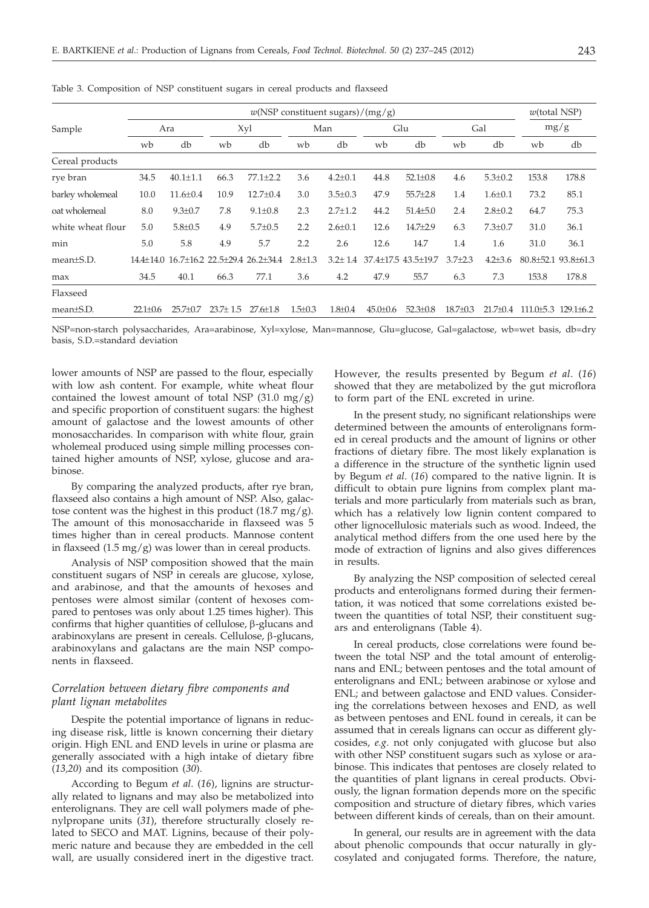|                   | $w(NSP$ constituent sugars)/(mg/g) |                |                |                                         |               |               |                     |                |                | $w$ (total NSP) |       |                                 |
|-------------------|------------------------------------|----------------|----------------|-----------------------------------------|---------------|---------------|---------------------|----------------|----------------|-----------------|-------|---------------------------------|
| Sample            | Ara                                |                |                | Xyl                                     | Man           |               | Glu                 |                | Gal            |                 | mg/g  |                                 |
|                   | wb                                 | db             | wb             | db                                      | wb            | db            | wb                  | db             | wb             | db              | wb    | db                              |
| Cereal products   |                                    |                |                |                                         |               |               |                     |                |                |                 |       |                                 |
| rye bran          | 34.5                               | $40.1 \pm 1.1$ | 66.3           | $77.1 \pm 2.2$                          | 3.6           | $4.2 \pm 0.1$ | 44.8                | $52.1 \pm 0.8$ | 4.6            | $5.3 \pm 0.2$   | 153.8 | 178.8                           |
| barley wholemeal  | 10.0                               | $11.6 \pm 0.4$ | 10.9           | $12.7 \pm 0.4$                          | 3.0           | $3.5 \pm 0.3$ | 47.9                | $55.7{\pm}2.8$ | 1.4            | $1.6 \pm 0.1$   | 73.2  | 85.1                            |
| oat wholemeal     | 8.0                                | $9.3 \pm 0.7$  | 7.8            | $9.1 \pm 0.8$                           | 2.3           | $2.7 \pm 1.2$ | 44.2                | $51.4{\pm}5.0$ | 2.4            | $2.8 \pm 0.2$   | 64.7  | 75.3                            |
| white wheat flour | 5.0                                | $5.8 \pm 0.5$  | 4.9            | $5.7 \pm 0.5$                           | 2.2           | $2.6 \pm 0.1$ | 12.6                | $14.7 + 2.9$   | 6.3            | $7.3 \pm 0.7$   | 31.0  | 36.1                            |
| min               | 5.0                                | 5.8            | 4.9            | 5.7                                     | 2.2           | 2.6           | 12.6                | 14.7           | 1.4            | 1.6             | 31.0  | 36.1                            |
| $mean \pm S.D.$   |                                    |                |                | 14.4±14.0 16.7±16.2 22.5±29.4 26.2±34.4 | $2.8 \pm 1.3$ | $3.2 \pm 1.4$ | 37.4±17.5 43.5±19.7 |                | $3.7 + 2.3$    | $4.2 + 3.6$     |       | $80.8 \pm 52.1$ 93.8 $\pm 61.3$ |
| max               | 34.5                               | 40.1           | 66.3           | 77.1                                    | 3.6           | 4.2           | 47.9                | 55.7           | 6.3            | 7.3             | 153.8 | 178.8                           |
| Flaxseed          |                                    |                |                |                                         |               |               |                     |                |                |                 |       |                                 |
| mean±S.D.         | $22.1 + 0.6$                       | $25.7 \pm 0.7$ | $23.7 \pm 1.5$ | $27.6 \pm 1.8$                          | $1.5 \pm 0.3$ | $1.8 + 0.4$   | $45.0 \pm 0.6$      | $52.3 \pm 0.8$ | $18.7 \pm 0.3$ | $21.7 + 0.4$    |       | $111.0 + 5.3$ $129.1 + 6.2$     |

Table 3. Composition of NSP constituent sugars in cereal products and flaxseed

NSP=non-starch polysaccharides, Ara=arabinose, Xyl=xylose, Man=mannose, Glu=glucose, Gal=galactose, wb=wet basis, db=dry basis, S.D.=standard deviation

lower amounts of NSP are passed to the flour, especially with low ash content. For example, white wheat flour contained the lowest amount of total NSP  $(31.0 \text{ mg/g})$ and specific proportion of constituent sugars: the highest amount of galactose and the lowest amounts of other monosaccharides. In comparison with white flour, grain wholemeal produced using simple milling processes contained higher amounts of NSP, xylose, glucose and arabinose.

By comparing the analyzed products, after rye bran, flaxseed also contains a high amount of NSP. Also, galactose content was the highest in this product  $(18.7 \text{ mg/g}).$ The amount of this monosaccharide in flaxseed was 5 times higher than in cereal products. Mannose content in flaxseed  $(1.5 \text{ mg/g})$  was lower than in cereal products.

Analysis of NSP composition showed that the main constituent sugars of NSP in cereals are glucose, xylose, and arabinose, and that the amounts of hexoses and pentoses were almost similar (content of hexoses compared to pentoses was only about 1.25 times higher). This confirms that higher quantities of cellulose,  $\beta$ -glucans and arabinoxylans are present in cereals. Cellulose,  $\beta$ -glucans, arabinoxylans and galactans are the main NSP components in flaxseed.

## *Correlation between dietary fibre components and plant lignan metabolites*

Despite the potential importance of lignans in reducing disease risk, little is known concerning their dietary origin. High ENL and END levels in urine or plasma are generally associated with a high intake of dietary fibre (*13,20*) and its composition (*30*).

According to Begum *et al*. (*16*), lignins are structurally related to lignans and may also be metabolized into enterolignans. They are cell wall polymers made of phenylpropane units (*31*), therefore structurally closely related to SECO and MAT. Lignins, because of their polymeric nature and because they are embedded in the cell wall, are usually considered inert in the digestive tract.

However, the results presented by Begum *et al*. (*16*) showed that they are metabolized by the gut microflora to form part of the ENL excreted in urine.

In the present study, no significant relationships were determined between the amounts of enterolignans formed in cereal products and the amount of lignins or other fractions of dietary fibre. The most likely explanation is a difference in the structure of the synthetic lignin used by Begum *et al*. (*16*) compared to the native lignin. It is difficult to obtain pure lignins from complex plant materials and more particularly from materials such as bran, which has a relatively low lignin content compared to other lignocellulosic materials such as wood. Indeed, the analytical method differs from the one used here by the mode of extraction of lignins and also gives differences in results.

By analyzing the NSP composition of selected cereal products and enterolignans formed during their fermentation, it was noticed that some correlations existed between the quantities of total NSP, their constituent sugars and enterolignans (Table 4).

In cereal products, close correlations were found between the total NSP and the total amount of enterolignans and ENL; between pentoses and the total amount of enterolignans and ENL; between arabinose or xylose and ENL; and between galactose and END values. Considering the correlations between hexoses and END, as well as between pentoses and ENL found in cereals, it can be assumed that in cereals lignans can occur as different glycosides, *e.g*. not only conjugated with glucose but also with other NSP constituent sugars such as xylose or arabinose. This indicates that pentoses are closely related to the quantities of plant lignans in cereal products. Obviously, the lignan formation depends more on the specific composition and structure of dietary fibres, which varies between different kinds of cereals, than on their amount.

In general, our results are in agreement with the data about phenolic compounds that occur naturally in glycosylated and conjugated forms. Therefore, the nature,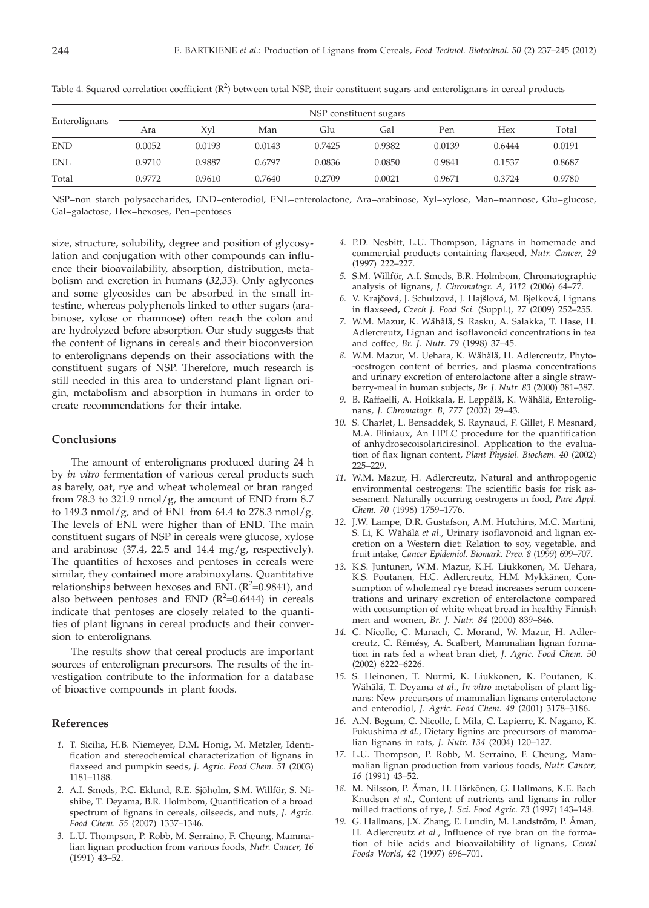| Enterolignans | NSP constituent sugars |        |        |        |        |        |        |        |  |  |  |
|---------------|------------------------|--------|--------|--------|--------|--------|--------|--------|--|--|--|
|               | Ara                    | Xvl    | Man    | Glu    | Gal    | Pen    | Hex    | Total  |  |  |  |
| <b>END</b>    | 0.0052                 | 0.0193 | 0.0143 | 0.7425 | 0.9382 | 0.0139 | 0.6444 | 0.0191 |  |  |  |
| <b>ENL</b>    | 0.9710                 | 0.9887 | 0.6797 | 0.0836 | 0.0850 | 0.9841 | 0.1537 | 0.8687 |  |  |  |
| Total         | 0.9772                 | 0.9610 | 0.7640 | 0.2709 | 0.0021 | 0.9671 | 0.3724 | 0.9780 |  |  |  |

Table 4. Squared correlation coefficient  $(R^2)$  between total NSP, their constituent sugars and enterolignans in cereal products

NSP=non starch polysaccharides, END=enterodiol, ENL=enterolactone, Ara=arabinose, Xyl=xylose, Man=mannose, Glu=glucose, Gal=galactose, Hex=hexoses, Pen=pentoses

size, structure, solubility, degree and position of glycosylation and conjugation with other compounds can influence their bioavailability, absorption, distribution, metabolism and excretion in humans (*32,33*). Only aglycones and some glycosides can be absorbed in the small intestine, whereas polyphenols linked to other sugars (arabinose, xylose or rhamnose) often reach the colon and are hydrolyzed before absorption. Our study suggests that the content of lignans in cereals and their bioconversion to enterolignans depends on their associations with the constituent sugars of NSP. Therefore, much research is still needed in this area to understand plant lignan origin, metabolism and absorption in humans in order to create recommendations for their intake.

## **Conclusions**

The amount of enterolignans produced during 24 h by *in vitro* fermentation of various cereal products such as barely, oat, rye and wheat wholemeal or bran ranged from 78.3 to 321.9 nmol/g, the amount of END from 8.7 to 149.3 nmol/g, and of ENL from 64.4 to 278.3 nmol/g. The levels of ENL were higher than of END. The main constituent sugars of NSP in cereals were glucose, xylose and arabinose  $(37.4, 22.5 \text{ and } 14.4 \text{ mg/g},$  respectively). The quantities of hexoses and pentoses in cereals were similar, they contained more arabinoxylans. Quantitative relationships between hexoses and ENL ( $R^2$ =0.9841), and also between pentoses and END  $(R^2=0.6444)$  in cereals indicate that pentoses are closely related to the quantities of plant lignans in cereal products and their conversion to enterolignans.

The results show that cereal products are important sources of enterolignan precursors. The results of the investigation contribute to the information for a database of bioactive compounds in plant foods.

#### **References**

- *1.* T. Sicilia, H.B. Niemeyer, D.M. Honig, M. Metzler, Identification and stereochemical characterization of lignans in flaxseed and pumpkin seeds, *J. Agric. Food Chem. 51* (2003) 1181–1188.
- *2.* A.I. Smeds, P.C. Eklund, R.E. Sjöholm, S.M. Willför, S. Nishibe, T. Deyama, B.R. Holmbom, Quantification of a broad spectrum of lignans in cereals, oilseeds, and nuts, *J. Agric. Food Chem. 55* (2007) 1337–1346.
- *3.* L.U. Thompson, P. Robb, M. Serraino, F. Cheung, Mammalian lignan production from various foods, *Nutr. Cancer, 16* (1991) 43–52.
- *4.* P.D. Nesbitt, L.U. Thompson, Lignans in homemade and commercial products containing flaxseed, *Nutr. Cancer, 29* (1997) 222–227.
- *5.* S.M. Willför, A.I. Smeds, B.R. Holmbom, Chromatographic analysis of lignans, *J. Chromatogr. A, 1112* (2006) 64–77.
- 6. V. Krajčová, J. Schulzová, J. Hajšlová, M. Bjelková, Lignans in flaxseed**,** *Czech J. Food Sci.* (Suppl.), *27* (2009) 252–255.
- *7.* W.M. Mazur, K. Wähälä, S. Rasku, A. Salakka, T. Hase, H. Adlercreutz, Lignan and isoflavonoid concentrations in tea and coffee, *Br. J. Nutr. 79* (1998) 37–45.
- *8.* W.M. Mazur, M. Uehara, K. Wähälä, H. Adlercreutz, Phyto- -oestrogen content of berries, and plasma concentrations and urinary excretion of enterolactone after a single strawberry-meal in human subjects, *Br. J. Nutr. 83* (2000) 381–387.
- *9.* B. Raffaelli, A. Hoikkala, E. Leppälä, K. Wähälä, Enterolignans, *J. Chromatogr. B, 777* (2002) 29–43.
- *10.* S. Charlet, L. Bensaddek, S. Raynaud, F. Gillet, F. Mesnard, M.A. Fliniaux, An HPLC procedure for the quantification of anhydrosecoisolariciresinol. Application to the evaluation of flax lignan content, *Plant Physiol. Biochem. 40* (2002) 225–229.
- *11.* W.M. Mazur, H. Adlercreutz, Natural and anthropogenic environmental oestrogens: The scientific basis for risk assessment. Naturally occurring oestrogens in food, *Pure Appl. Chem. 70* (1998) 1759–1776.
- *12.* J.W. Lampe, D.R. Gustafson, A.M. Hutchins, M.C. Martini, S. Li, K. Wähälä *et al*., Urinary isoflavonoid and lignan excretion on a Western diet: Relation to soy, vegetable, and fruit intake, *Cancer Epidemiol. Biomark. Prev. 8* (1999) 699–707.
- *13.* K.S. Juntunen, W.M. Mazur, K.H. Liukkonen, M. Uehara, K.S. Poutanen, H.C. Adlercreutz, H.M. Mykkänen, Consumption of wholemeal rye bread increases serum concentrations and urinary excretion of enterolactone compared with consumption of white wheat bread in healthy Finnish men and women, *Br. J. Nutr. 84* (2000) 839–846.
- *14.* C. Nicolle, C. Manach, C. Morand, W. Mazur, H. Adlercreutz, C. Rémésy, A. Scalbert, Mammalian lignan formation in rats fed a wheat bran diet, *J. Agric. Food Chem. 50* (2002) 6222–6226.
- *15.* S. Heinonen, T. Nurmi, K. Liukkonen, K. Poutanen, K. Wähälä, T. Deyama *et al*., *In vitro* metabolism of plant lignans: New precursors of mammalian lignans enterolactone and enterodiol, *J. Agric. Food Chem. 49* (2001) 3178–3186.
- *16.* A.N. Begum, C. Nicolle, I. Mila, C. Lapierre, K. Nagano, K. Fukushima *et al*., Dietary lignins are precursors of mammalian lignans in rats, *J. Nutr. 134* (2004) 120–127.
- *17.* L.U. Thompson, P. Robb, M. Serraino, F. Cheung, Mammalian lignan production from various foods, *Nutr. Cancer, 16* (1991) 43–52.
- *18.* M. Nilsson, P. Åman, H. Härkönen, G. Hallmans, K.E. Bach Knudsen *et al.*, Content of nutrients and lignans in roller milled fractions of rye, *J. Sci. Food Agric. 73* (1997) 143–148.
- *19.* G. Hallmans, J.X. Zhang, E. Lundin, M. Landström, P. Åman, H. Adlercreutz *et al*., Influence of rye bran on the formation of bile acids and bioavailability of lignans, *Cereal Foods World, 42* (1997) 696–701.